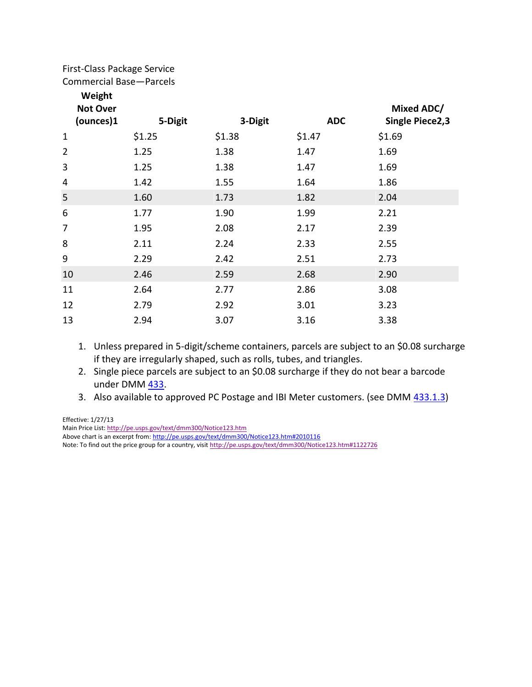## First-Class Package Service

Commercial Base—Parcels

| Weight |
|--------|
|--------|

| <b>Not Over</b> |         |         |            | Mixed ADC/             |
|-----------------|---------|---------|------------|------------------------|
| (ounces)1       | 5-Digit | 3-Digit | <b>ADC</b> | <b>Single Piece2,3</b> |
| $\mathbf{1}$    | \$1.25  | \$1.38  | \$1.47     | \$1.69                 |
| $\overline{2}$  | 1.25    | 1.38    | 1.47       | 1.69                   |
| 3               | 1.25    | 1.38    | 1.47       | 1.69                   |
| 4               | 1.42    | 1.55    | 1.64       | 1.86                   |
| 5               | 1.60    | 1.73    | 1.82       | 2.04                   |
| 6               | 1.77    | 1.90    | 1.99       | 2.21                   |
| 7               | 1.95    | 2.08    | 2.17       | 2.39                   |
| 8               | 2.11    | 2.24    | 2.33       | 2.55                   |
| 9               | 2.29    | 2.42    | 2.51       | 2.73                   |
| 10              | 2.46    | 2.59    | 2.68       | 2.90                   |
| 11              | 2.64    | 2.77    | 2.86       | 3.08                   |
| 12              | 2.79    | 2.92    | 3.01       | 3.23                   |
| 13              | 2.94    | 3.07    | 3.16       | 3.38                   |
|                 |         |         |            |                        |

- 1. Unless prepared in 5-digit/scheme containers, parcels are subject to an \$0.08 surcharge if they are irregularly shaped, such as rolls, tubes, and triangles.
- 2. Single piece parcels are subject to an \$0.08 surcharge if they do not bear a barcode under DMM [433.](http://pe.usps.gov/text/dmm300/433.htm#1013197)
- 3. Also available to approved PC Postage and IBI Meter customers. (see DMM [433.1.3\)](http://pe.usps.gov/text/dmm300/433.htm#1065758)

Effective: 1/27/13 Main Price List[: http://pe.usps.gov/text/dmm300/Notice123.htm](http://pe.usps.gov/text/dmm300/Notice123.htm) Above chart is an excerpt from:<http://pe.usps.gov/text/dmm300/Notice123.htm#2010116> Note: To find out the price group for a country, visi[t http://pe.usps.gov/text/dmm300/Notice123.htm#1122726](http://pe.usps.gov/text/dmm300/Notice123.htm#1122726)